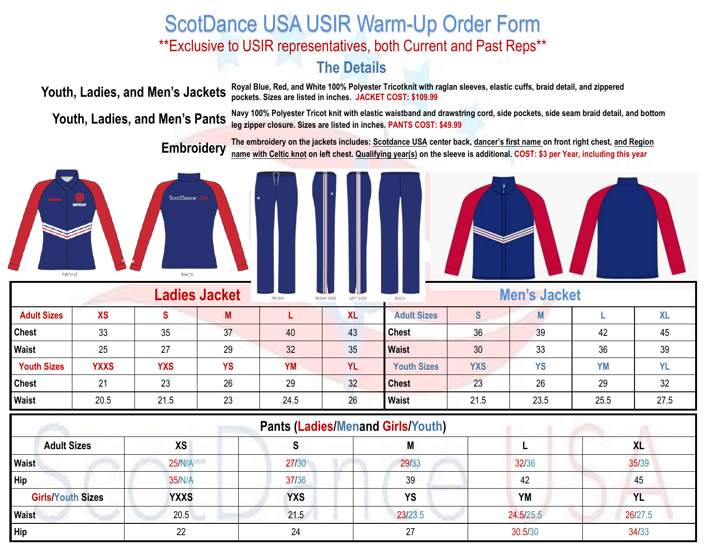## ScotDance USA USIR Warm-Up Order Form \*\*Exclusive to USIR representatives, both Current and Past Reps\*\*

#### **The Details**

**Youth, Ladies, and Men's Jackets** Royal Blue, Red, and White 100% Polyester Tricotknit with raglan sleeves, elastic cuffs, braid detail, and zippered **Youth, Ladies, and Men's Jackets** pockets, Sizes are listed in inches **pockets. Sizes are listed in inches. JACKET COST: \$109.99**

**Youth, Ladies, and Men's Pants** Navy 100% Polyester Tricot knit with elastic waistband and drawstring cord, side pockets, side seam braid detail, and bottom **Youth, Ladies, and Men's Pants** leg zinner closure. Sizes are l **leg zipper closure. Sizes are listed in inches. PANTS COST: \$49.99**

> **Embroidery The embroidery on the jackets includes: Scotdance USA center back, dancer's first name on front right chest, and Region name with Celtic knot on left chest. Qualifying year(s) on the sleeve is additional. COST: \$3 per Year, including this year**







| <b>Ladies Jacket</b> |             |            |           | <b>FRONT</b> | . III D<br>- 111 -<br><b>Men's Jacket</b><br>LEFT SIDE<br><b>BACK</b><br>RIGHT SIDE |                    |                  |           |           |           |
|----------------------|-------------|------------|-----------|--------------|-------------------------------------------------------------------------------------|--------------------|------------------|-----------|-----------|-----------|
| <b>Adult Sizes</b>   | <b>XS</b>   | <b>S</b>   | M         |              | <b>XL</b>                                                                           | <b>Adult Sizes</b> | $\mathbf \sigma$ |           |           | <b>XL</b> |
| <b>Chest</b>         | 33          | 35         | 37        | 40           | 43                                                                                  | <b>Chest</b>       | 36               | 39        | 42        | 45        |
| Waist                | 25          | 27         | 29        | 32           | 35                                                                                  | <b>Waist</b>       | 30               | 33        | 36        | 39        |
| <b>Youth Sizes</b>   | <b>YXXS</b> | <b>YXS</b> | <b>YS</b> | <b>YM</b>    | <b>YL</b>                                                                           | <b>Youth Sizes</b> | <b>YXS</b>       | <b>YS</b> | <b>YM</b> | <b>YL</b> |
| <b>Chest</b>         | 21          | 23         | 26        | 29           | 32                                                                                  | <b>Chest</b>       | 23               | 26        | 29        | 32        |
| Waist                | 20.5        | 21.5       | 23        | 24.5         | 26                                                                                  | <b>Waist</b>       | 21.5             | 23.5      | 25.5      | 27.5      |

| <b>Pants (Ladies/Menand Girls/Youth)</b> |               |            |           |           |           |  |  |
|------------------------------------------|---------------|------------|-----------|-----------|-----------|--|--|
| <b>Adult Sizes</b>                       | <b>XS</b>     |            | M         |           | <b>XL</b> |  |  |
| <b>Waist</b>                             | 25/N/A        | 27/30      | 29/33     | 32/36     | 35/39     |  |  |
| Hip                                      | <b>35/N/A</b> | 37/36      | 39        | 42        | 45        |  |  |
| <b>Girls/Youth Sizes</b>                 | <b>YXXS</b>   | <b>YXS</b> | <b>YS</b> | YM        | <b>YL</b> |  |  |
| Waist                                    | 20.5          | 21.5       | 23/23.5   | 24.5/25.5 | 26/27.5   |  |  |
| Hip                                      | 22            | 24         | 27        | 30.5/30   | 34/33     |  |  |